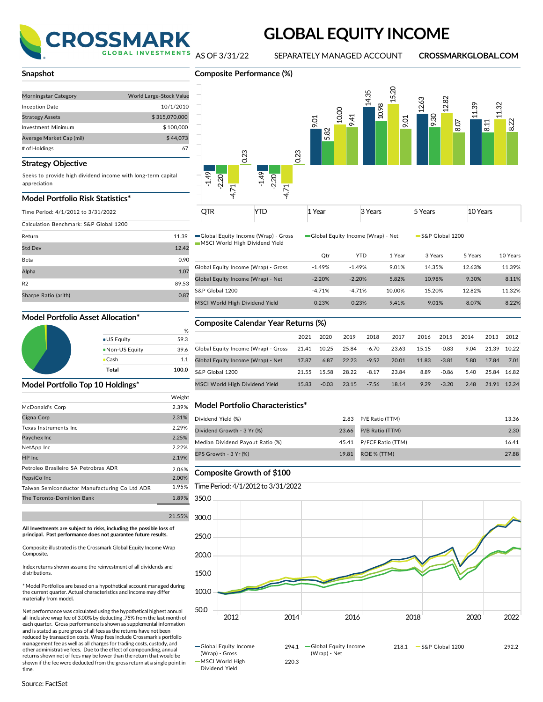

# **GLOBAL EQUITY INCOME**

**Composite Performance (%)**

AS OF 3/31/22 SEPARATELY MANAGED ACCOUNT **CROSSMARKGLOBAL.COM**

#### **Snapshot**

| <b>Morningstar Category</b> | World Large-Stock Value |
|-----------------------------|-------------------------|
| <b>Inception Date</b>       | 10/1/2010               |
| <b>Strategy Assets</b>      | \$315,070,000           |
| Investment Minimum          | \$100,000               |
| Average Market Cap (mil)    | \$44,073                |
| # of Holdings               | 67                      |

#### **Strategy Objective**

Seeks to provide high dividend income with long-term capital appreciation

#### **Model Portfolio Risk Statistics\***

|  | Time Period: 4/1/2012 to 3/31/2022 |  |
|--|------------------------------------|--|

Calculation Benchmark: S&P Global 1200

| Return               | 11.39 |
|----------------------|-------|
| <b>Std Dev</b>       | 12.42 |
| Beta                 | 0.90  |
| Alpha                | 1.07  |
| R <sub>2</sub>       | 89.53 |
| Sharpe Ratio (arith) | 0.87  |
|                      |       |

|                     | %     |
|---------------------|-------|
| ● US Equity         | 59.3  |
| . Non-US Equity     | 39.6  |
| $\blacksquare$ Cash | 1.1   |
| Total               | 100.0 |

#### **Model Portfolio Top 10 Holdings\***

|                                               | Weight |               |
|-----------------------------------------------|--------|---------------|
| McDonald's Corp                               | 2.39%  | Mod           |
| Cigna Corp                                    | 2.31%  | Divide        |
| Texas Instruments Inc.                        | 2.29%  | Divide        |
| Paychex Inc                                   | 2.25%  | Media         |
| NetApp Inc                                    | 2.22%  |               |
| HP Inc                                        | 2.19%  | <b>EPS GI</b> |
| Petroleo Brasileiro SA Petrobras ADR          | 2.06%  |               |
| PepsiCo Inc                                   | 2.00%  | Com           |
| Taiwan Semiconductor Manufacturing Co Ltd ADR | 1.95%  | Time I        |
| The Toronto-Dominion Bank                     | 1.89%  | 350.0         |
|                                               |        |               |

**All Investments are subject to risks, including the possible loss of principal. Past performance does not guarantee future results.**

Composite illustrated is the Crossmark Global Equity Income Wrap Composite.

Index returns shown assume the reinvestment of all dividends and distributions.

\* Model Portfolios are based on a hypothetical account managed during the current quarter. Actual characteristics and income may differ materially from model**.**

Net performance was calculated using the hypothetical highest annual all-inclusive wrap fee of 3.00% by deducting .75% from the last month of each quarter. Gross performance is shown as supplemental information and is stated as pure gross of all fees as the returns have not been reduced by transaction costs. Wrap fees include Crossmark's portfolio management fee as well as all charges for trading costs, custody, and other administrative fees. Due to the effect of compounding, annual returns shown net of fees may be lower than the return that would be shown if the fee were deducted from the gross return at a single point in time





| םדר<br>UIR<br>$\ddot{\phantom{1}}$ | . | Year | <b>Voor</b><br>edis | , Voorc<br><b>CAI</b> | oore<br>cars |
|------------------------------------|---|------|---------------------|-----------------------|--------------|
|                                    |   |      |                     |                       |              |

Global Equity Income (Wrap) - Gross Global Equity Income (Wrap) - Net Global 1200 MSCI World High Dividend Yield

|                                     | Qtr      | <b>YTD</b> | 1 Year | 3 Years | 5 Years | 10 Years |
|-------------------------------------|----------|------------|--------|---------|---------|----------|
| Global Equity Income (Wrap) - Gross | $-1.49%$ | $-1.49%$   | 9.01%  | 14.35%  | 12.63%  | 11.39%   |
| Global Equity Income (Wrap) - Net   | $-2.20%$ | $-2.20%$   | 5.82%  | 10.98%  | 9.30%   | 8.11%    |
| S&P Global 1200                     | $-4.71%$ | $-4.71%$   | 10.00% | 15.20%  | 12.82%  | 11.32%   |
| MSCI World High Dividend Yield      | 0.23%    | 0.23%      | 9.41%  | 9.01%   | 8.07%   | 8.22%    |

## **Model Portfolio Asset Allocation\* Composite Calendar Year Returns (%)**

|                                     | 2021  | 2020    | 2019  | 2018    | 2017  | 2016  | 2015    | 2014 | 2013        | 2012  |
|-------------------------------------|-------|---------|-------|---------|-------|-------|---------|------|-------------|-------|
| Global Equity Income (Wrap) - Gross | 21.41 | 10.25   | 25.84 | $-6.70$ | 23.63 | 15.15 | $-0.83$ | 9.04 | 21.39       | 10.22 |
| Global Equity Income (Wrap) - Net   | 17.87 | 6.87    | 22.23 | $-9.52$ | 20.01 | 11.83 | $-3.81$ | 5.80 | 17.84       | 7.01  |
| S&P Global 1200                     | 21.55 | 15.58   | 28.22 | $-8.17$ | 23.84 | 8.89  | $-0.86$ | 5.40 | 25.84 16.82 |       |
| MSCI World High Dividend Yield      | 15.83 | $-0.03$ | 23.15 | $-7.56$ | 18.14 | 9.29  | $-3.20$ | 2.48 | 2191        | 12.24 |

#### $Model$  Portfolio Characteristics\*

| Dividend Yield (%)<br>2.83 P/E Ratio (TTM)                  | 13.36 |
|-------------------------------------------------------------|-------|
|                                                             |       |
| P/B Ratio (TTM)<br>Dividend Growth - 3 Yr (%)<br>23.66      | 2.30  |
| Median Dividend Payout Ratio (%)<br>45.41 P/FCF Ratio (TTM) | 16.41 |
| EPS Growth - 3 Yr (%)<br>ROE % (TTM)<br>19.81               | 27.88 |

#### 2.06% **Composite Growth of \$100**

#### Time Period: 4/1/2012 to 3/31/2022



Global Equity Income (Wrap) - Gross MSCI World High Dividend Yield

(Wrap) - Net 220.3

294.1 Global Equity Income